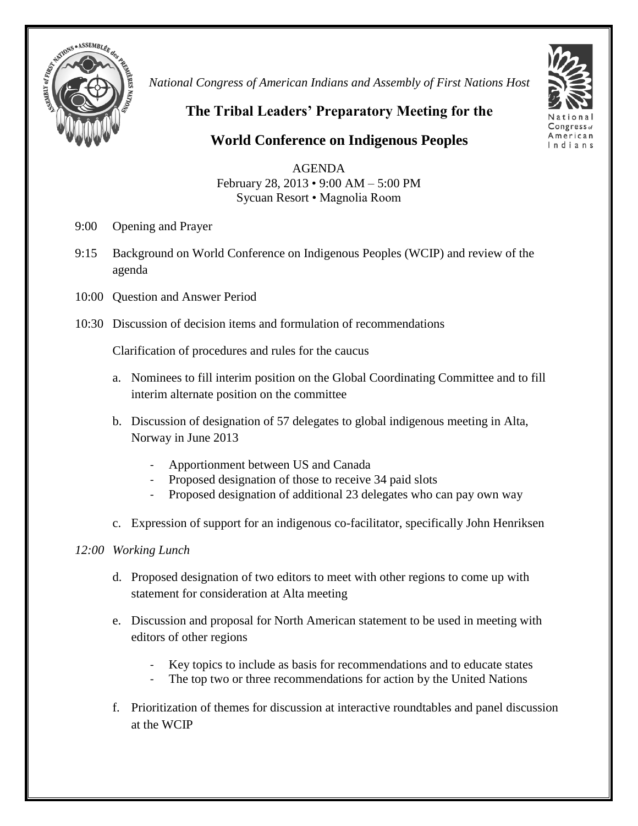

*National Congress of American Indians and Assembly of First Nations Host*



**The Tribal Leaders' Preparatory Meeting for the** 

**World Conference on Indigenous Peoples** 

AGENDA February 28, 2013 • 9:00 AM – 5:00 PM Sycuan Resort • Magnolia Room

- 9:00 Opening and Prayer
- 9:15 Background on World Conference on Indigenous Peoples (WCIP) and review of the agenda
- 10:00 Question and Answer Period
- 10:30 Discussion of decision items and formulation of recommendations

Clarification of procedures and rules for the caucus

- a. Nominees to fill interim position on the Global Coordinating Committee and to fill interim alternate position on the committee
- b. Discussion of designation of 57 delegates to global indigenous meeting in Alta, Norway in June 2013
	- Apportionment between US and Canada
	- Proposed designation of those to receive 34 paid slots
	- Proposed designation of additional 23 delegates who can pay own way
- c. Expression of support for an indigenous co-facilitator, specifically John Henriksen

## *12:00 Working Lunch*

- d. Proposed designation of two editors to meet with other regions to come up with statement for consideration at Alta meeting
- e. Discussion and proposal for North American statement to be used in meeting with editors of other regions
	- Key topics to include as basis for recommendations and to educate states
	- The top two or three recommendations for action by the United Nations
- f. Prioritization of themes for discussion at interactive roundtables and panel discussion at the WCIP